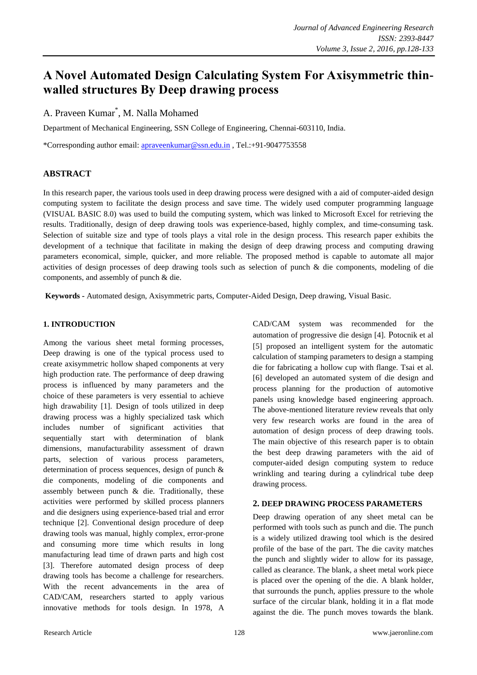# **A Novel Automated Design Calculating System For Axisymmetric thinwalled structures By Deep drawing process**

A. Praveen Kumar\* , M. Nalla Mohamed

Department of Mechanical Engineering, SSN College of Engineering, Chennai-603110, India.

\*Corresponding author email: [apraveenkumar@ssn.edu.in](file:///C:/Users/PRAVEEN/Desktop/apraveenkumar@ssn.edu.in) , Tel.:+91-9047753558

# **ABSTRACT**

In this research paper, the various tools used in deep drawing process were designed with a aid of computer-aided design computing system to facilitate the design process and save time. The widely used computer programming language (VISUAL BASIC 8.0) was used to build the computing system, which was linked to Microsoft Excel for retrieving the results. Traditionally, design of deep drawing tools was experience-based, highly complex, and time-consuming task. Selection of suitable size and type of tools plays a vital role in the design process. This research paper exhibits the development of a technique that facilitate in making the design of deep drawing process and computing drawing parameters economical, simple, quicker, and more reliable. The proposed method is capable to automate all major activities of design processes of deep drawing tools such as selection of punch & die components, modeling of die components, and assembly of punch & die.

**Keywords -** Automated design, Axisymmetric parts, Computer-Aided Design, Deep drawing, Visual Basic.

# **1. INTRODUCTION**

Among the various sheet metal forming processes, Deep drawing is one of the typical process used to create axisymmetric hollow shaped components at very high production rate. The performance of deep drawing process is influenced by many parameters and the choice of these parameters is very essential to achieve high drawability [1]. Design of tools utilized in deep drawing process was a highly specialized task which includes number of significant activities that sequentially start with determination of blank dimensions, manufacturability assessment of drawn parts, selection of various process parameters, determination of process sequences, design of punch & die components, modeling of die components and assembly between punch & die. Traditionally, these activities were performed by skilled process planners and die designers using experience-based trial and error technique [2]. Conventional design procedure of deep drawing tools was manual, highly complex, error-prone and consuming more time which results in long manufacturing lead time of drawn parts and high cost [3]. Therefore automated design process of deep drawing tools has become a challenge for researchers. With the recent advancements in the area of CAD/CAM, researchers started to apply various innovative methods for tools design. In 1978, A

CAD/CAM system was recommended for the automation of progressive die design [4]. Potocnik et al [5] proposed an intelligent system for the automatic calculation of stamping parameters to design a stamping die for fabricating a hollow cup with flange. Tsai et al. [6] developed an automated system of die design and process planning for the production of automotive panels using knowledge based engineering approach. The above-mentioned literature review reveals that only very few research works are found in the area of automation of design process of deep drawing tools. The main objective of this research paper is to obtain the best deep drawing parameters with the aid of computer-aided design computing system to reduce wrinkling and tearing during a cylindrical tube deep drawing process.

# **2. DEEP DRAWING PROCESS PARAMETERS**

Deep drawing operation of any sheet metal can be performed with tools such as punch and die. The punch is a widely utilized drawing tool which is the desired profile of the base of the part. The die cavity matches the punch and slightly wider to allow for its passage, called as clearance. The blank, a sheet metal work piece is placed over the opening of the die. A blank holder, that surrounds the punch, applies pressure to the whole surface of the circular blank, holding it in a flat mode against the die. The punch moves towards the blank.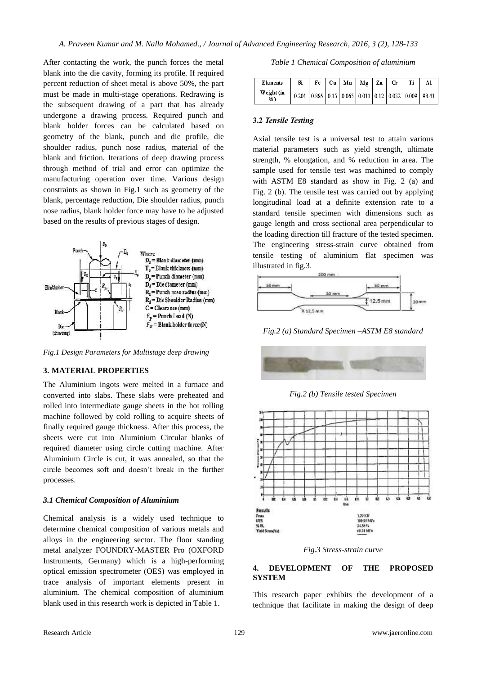After contacting the work, the punch forces the metal blank into the die cavity, forming its profile. If required percent reduction of sheet metal is above 50%, the part must be made in multi-stage operations. Redrawing is the subsequent drawing of a part that has already undergone a drawing process. Required punch and blank holder forces can be calculated based on geometry of the blank, punch and die profile, die shoulder radius, punch nose radius, material of the blank and friction. Iterations of deep drawing process through method of trial and error can optimize the manufacturing operation over time. Various design constraints as shown in Fig.1 such as geometry of the blank, percentage reduction, Die shoulder radius, punch nose radius, blank holder force may have to be adjusted based on the results of previous stages of design.



*Fig.1 Design Parameters for Multistage deep drawing*

## **3. MATERIAL PROPERTIES**

The Aluminium ingots were melted in a furnace and converted into slabs. These slabs were preheated and rolled into intermediate gauge sheets in the hot rolling machine followed by cold rolling to acquire sheets of finally required gauge thickness. After this process, the sheets were cut into Aluminium Circular blanks of required diameter using circle cutting machine. After Aluminium Circle is cut, it was annealed, so that the circle becomes soft and doesn't break in the further processes.

#### *3.1 Chemical Composition of Aluminium*

Chemical analysis is a widely used technique to determine chemical composition of various metals and alloys in the engineering sector. The floor standing metal analyzer FOUNDRY-MASTER Pro (OXFORD Instruments, Germany) which is a high-performing optical emission spectrometer (OES) was employed in trace analysis of important elements present in aluminium. The chemical composition of aluminium blank used in this research work is depicted in Table 1.

| Table 1 Chemical Composition of aluminium |  |  |  |
|-------------------------------------------|--|--|--|
|-------------------------------------------|--|--|--|

| <b>Elements</b>  | Si                                                                  |  | $Fe$   Cu   Mn   Mg   Zn |  | <b>Cr</b> | Ti | Al |
|------------------|---------------------------------------------------------------------|--|--------------------------|--|-----------|----|----|
| Weight (in<br>%) | 0.204   0.886   0.15   0.065   0.011   0.12   0.032   0.009   98.41 |  |                          |  |           |    |    |

#### **3.2** *Tensile Testing*

Axial tensile test is a universal test to attain various material parameters such as yield strength, ultimate strength, % elongation, and % reduction in area. The sample used for tensile test was machined to comply with ASTM E8 standard as show in Fig. 2 (a) and Fig. 2 (b). The tensile test was carried out by applying longitudinal load at a definite extension rate to a standard tensile specimen with dimensions such as gauge length and cross sectional area perpendicular to the loading direction till fracture of the tested specimen. The engineering stress-strain curve obtained from tensile testing of aluminium flat specimen was illustrated in fig.3.



*Fig.2 (a) Standard Specimen –ASTM E8 standard*



*Fig.2 (b) Tensile tested Specimen*



*Fig.3 Stress-strain curve*

## **4. DEVELOPMENT OF THE PROPOSED SYSTEM**

This research paper exhibits the development of a technique that facilitate in making the design of deep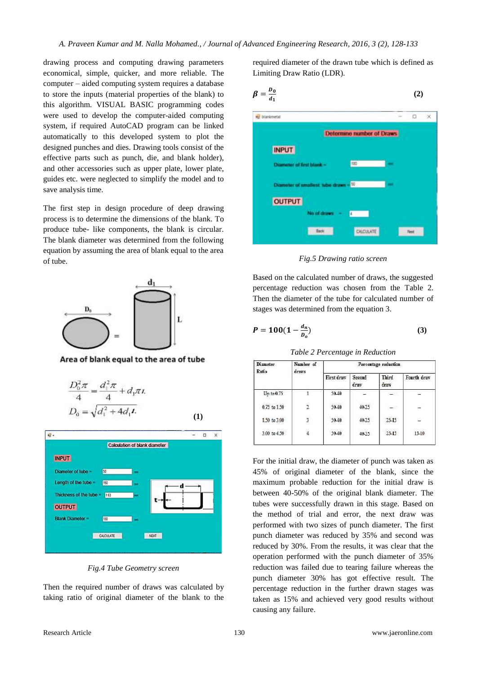drawing process and computing drawing parameters economical, simple, quicker, and more reliable. The computer – aided computing system requires a database to store the inputs (material properties of the blank) to this algorithm. VISUAL BASIC programming codes were used to develop the computer-aided computing system, if required AutoCAD program can be linked automatically to this developed system to plot the designed punches and dies. Drawing tools consist of the effective parts such as punch, die, and blank holder), and other accessories such as upper plate, lower plate, guides etc. were neglected to simplify the model and to save analysis time.

The first step in design procedure of deep drawing process is to determine the dimensions of the blank. To produce tube- like components, the blank is circular. The blank diameter was determined from the following equation by assuming the area of blank equal to the area of tube.



Area of blank equal to the area of tube

$$
\frac{D_0^2 \pi}{4} = \frac{d_1^2 \pi}{4} + d_1 \pi t.
$$
  

$$
D_0 = \sqrt{d_1^2 + 4d_1 t}.
$$
 (1)



*Fig.4 Tube Geometry screen*

Then the required number of draws was calculated by taking ratio of original diameter of the blank to the

required diameter of the drawn tube which is defined as Limiting Draw Ratio (LDR).

$$
\beta = \frac{b_0}{d_1} \tag{2}
$$



*Fig.5 Drawing ratio screen*

Based on the calculated number of draws, the suggested percentage reduction was chosen from the Table 2. Then the diameter of the tube for calculated number of stages was determined from the equation 3.

$$
P = 100(1 - \frac{d_n}{D_o})
$$
 (3)

*Table 2 Percentage in Reduction*

| Number of      | Percentage reduction |                |               |             |  |  |
|----------------|----------------------|----------------|---------------|-------------|--|--|
|                | First draw           | Second<br>draw | Third<br>draw | Fourth draw |  |  |
|                | $50 - 40$            | $\sim$         | <b>CERE</b>   | e           |  |  |
| $\overline{2}$ | $50 - 40$            | 49.25          | 8235          | œ           |  |  |
| $\overline{3}$ | $50 - 40$            | 49.25          | 25-15         | $\sim$      |  |  |
| 4              | $50 - 40$            | 49.25          | 25-15         | $15-10$     |  |  |
|                | draws                |                |               |             |  |  |

For the initial draw, the diameter of punch was taken as 45% of original diameter of the blank, since the maximum probable reduction for the initial draw is between 40-50% of the original blank diameter. The tubes were successfully drawn in this stage. Based on the method of trial and error, the next draw was performed with two sizes of punch diameter. The first punch diameter was reduced by 35% and second was reduced by 30%. From the results, it was clear that the operation performed with the punch diameter of 35% reduction was failed due to tearing failure whereas the punch diameter 30% has got effective result. The percentage reduction in the further drawn stages was taken as 15% and achieved very good results without causing any failure.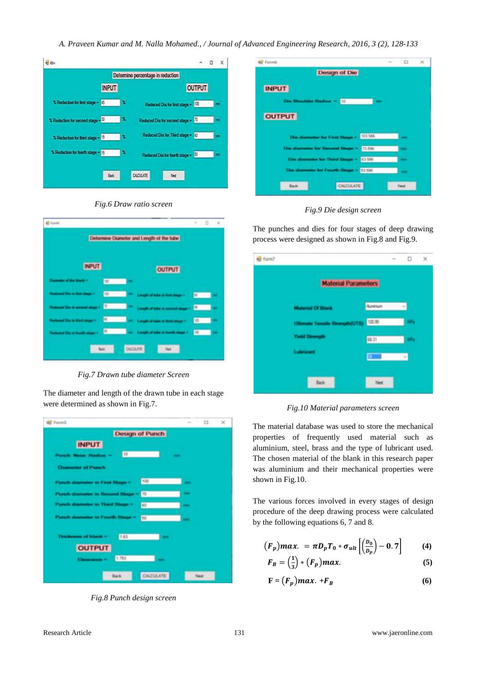*A. Praveen Kumar and M. Nalla Mohamed., / Journal of Advanced Engineering Research, 2016, 3 (2), 128-133*





*Fig.6 Draw ratio screen*

*Fig.7 Drawn tube diameter Screen*

The diameter and length of the drawn tube in each stage were determined as shown in Fig.7.



*Fig.8 Punch design screen*

| o            | ×            |
|--------------|--------------|
|              |              |
|              |              |
|              |              |
|              |              |
|              |              |
| <b>Septi</b> |              |
| -            |              |
| <b>Barn</b>  |              |
| <b>Mark</b>  |              |
|              |              |
|              | <b>Fiest</b> |

*Fig.9 Die design screen*

The punches and dies for four stages of deep drawing process were designed as shown in Fig.8 and Fig.9.

| Form? |                                       |                | $-$ | ο  | × |
|-------|---------------------------------------|----------------|-----|----|---|
|       | <b>Material Parameters</b>            |                |     |    |   |
|       | <b>Material Of Blank</b>              | <b>Aureurs</b> |     |    |   |
|       | <b>Ultimate Tensile Strength(UTS)</b> | 100.95         |     | w. |   |
|       | <b>Yield Strength</b>                 | (231)          |     | w, |   |
|       | Labricant                             |                |     | ×  |   |
|       | ties.                                 |                |     |    |   |

*Fig.10 Material parameters screen*

The material database was used to store the mechanical properties of frequently used material such as aluminium, steel, brass and the type of lubricant used. The chosen material of the blank in this research paper was aluminium and their mechanical properties were shown in Fig.10.

The various forces involved in every stages of design procedure of the deep drawing process were calculated by the following equations 6, 7 and 8.

$$
(F_p) max. = \pi D_p T_0 * \sigma_{ult} \left[ \left( \frac{D_0}{D_p} \right) - 0.7 \right] \tag{4}
$$

$$
F_B = \left(\frac{1}{3}\right) * \left(F_p\right) max. \tag{5}
$$

$$
\mathbf{F} = (F_p) \mathbf{m} a x. + F_B \tag{6}
$$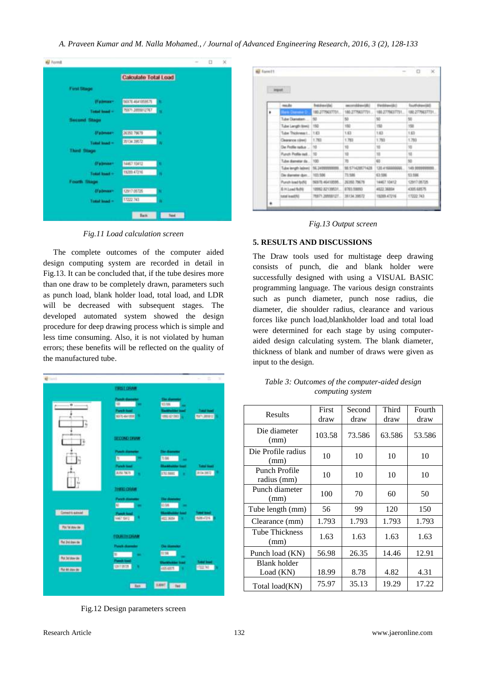| Barna <sup>1</sup>                              |   | $\frac{1}{2} \left( \frac{1}{2} \right) \left( \frac{1}{2} \right) \left( \frac{1}{2} \right)$ | Ð | × |
|-------------------------------------------------|---|------------------------------------------------------------------------------------------------|---|---|
| Calculate Total Load                            |   |                                                                                                |   |   |
| <b>Funt Stage</b>                               |   |                                                                                                |   |   |
| 56X76 4641059575<br>(Fairmax)                   | × |                                                                                                |   |   |
| 75971.2055312767<br>Total Issue -               | w |                                                                                                |   |   |
| Securid Stuge<br>and the company of the company |   |                                                                                                |   |   |
| <b><i>Understand</i></b><br>26350 79679         | ü |                                                                                                |   |   |
| 25134.29572<br>Turket broad =                   | N |                                                                                                |   |   |
| <b>Third Stage</b>                              |   |                                                                                                |   |   |
| d'admisen<br>14467.10412                        | ٠ |                                                                                                |   |   |
| 19209-67216<br>Total load =                     | N |                                                                                                |   |   |
| <b>Footh Stage</b>                              |   |                                                                                                |   |   |
| (Fubmas)<br>12917-05725                         | × |                                                                                                |   |   |
| 17222.743<br><b>Todal Inad-</b>                 | × |                                                                                                |   |   |

*Fig.11 Load calculation screen*

 The complete outcomes of the computer aided design computing system are recorded in detail in Fig.13. It can be concluded that, if the tube desires more than one draw to be completely drawn, parameters such as punch load, blank holder load, total load, and LDR will be decreased with subsequent stages. The developed automated system showed the design procedure for deep drawing process which is simple and less time consuming. Also, it is not violated by human errors; these benefits will be reflected on the quality of the manufactured tube.

| <b>ENGLISHAN</b><br><b>Check</b><br>$\mathfrak{m}$<br>103, 926<br>۰<br><b>Funch had</b><br><b>Total Food</b><br><b>Institution car</b><br><b>INCORPORATION</b><br>MATE ANTIBOR<br>٠<br><b>MATLIBUSE</b><br><b>SECOND DRIVIN</b><br>ï<br>Punit diameter<br><b>The character</b><br><b>B</b> Contract<br>3.66<br>-<br><b>Flash had</b><br><b>Total lines</b><br><b>Illustration load</b><br><b>JUNE 19615</b><br><b>DATUM 20072</b><br><b>CYLINDER</b><br>٠<br>٠<br><b>THREE CHAN</b><br><b>Purch die</b><br><b>Clean change</b><br>10.08<br>40<br>$\sim$<br>٠<br>Constitutional<br><b>Canada</b><br><b>Collect Street</b><br>NAST SALE<br>٠<br><b>SIM-4316</b><br><b>ART WITH</b><br>n.<br>Par Mateur de<br><b>FOURTH DRAW</b><br><b>No below de</b><br><b>Point domini</b><br><b>Class Algorithment</b><br>12196<br>w<br>۰<br><b>RA3ddevde</b><br><b>Panch low</b><br><b>Entert Issued</b><br><b><i><u>Hursbester last</u></i></b><br><b>UNITIMIZA</b><br>٠<br>(72274)<br>405,683<br>٠<br><b>Na as ago de 3</b> | <b>Section</b> |  | ÷,<br>٦ |
|-----------------------------------------------------------------------------------------------------------------------------------------------------------------------------------------------------------------------------------------------------------------------------------------------------------------------------------------------------------------------------------------------------------------------------------------------------------------------------------------------------------------------------------------------------------------------------------------------------------------------------------------------------------------------------------------------------------------------------------------------------------------------------------------------------------------------------------------------------------------------------------------------------------------------------------------------------------------------------------------------------------------|----------------|--|---------|
|                                                                                                                                                                                                                                                                                                                                                                                                                                                                                                                                                                                                                                                                                                                                                                                                                                                                                                                                                                                                                 |                |  |         |
|                                                                                                                                                                                                                                                                                                                                                                                                                                                                                                                                                                                                                                                                                                                                                                                                                                                                                                                                                                                                                 |                |  |         |
|                                                                                                                                                                                                                                                                                                                                                                                                                                                                                                                                                                                                                                                                                                                                                                                                                                                                                                                                                                                                                 |                |  |         |
|                                                                                                                                                                                                                                                                                                                                                                                                                                                                                                                                                                                                                                                                                                                                                                                                                                                                                                                                                                                                                 |                |  |         |
|                                                                                                                                                                                                                                                                                                                                                                                                                                                                                                                                                                                                                                                                                                                                                                                                                                                                                                                                                                                                                 |                |  |         |
|                                                                                                                                                                                                                                                                                                                                                                                                                                                                                                                                                                                                                                                                                                                                                                                                                                                                                                                                                                                                                 |                |  |         |
|                                                                                                                                                                                                                                                                                                                                                                                                                                                                                                                                                                                                                                                                                                                                                                                                                                                                                                                                                                                                                 |                |  |         |
|                                                                                                                                                                                                                                                                                                                                                                                                                                                                                                                                                                                                                                                                                                                                                                                                                                                                                                                                                                                                                 |                |  |         |
|                                                                                                                                                                                                                                                                                                                                                                                                                                                                                                                                                                                                                                                                                                                                                                                                                                                                                                                                                                                                                 |                |  |         |
|                                                                                                                                                                                                                                                                                                                                                                                                                                                                                                                                                                                                                                                                                                                                                                                                                                                                                                                                                                                                                 |                |  |         |
|                                                                                                                                                                                                                                                                                                                                                                                                                                                                                                                                                                                                                                                                                                                                                                                                                                                                                                                                                                                                                 |                |  |         |
|                                                                                                                                                                                                                                                                                                                                                                                                                                                                                                                                                                                                                                                                                                                                                                                                                                                                                                                                                                                                                 |                |  |         |
| SAM!<br><b>That II</b><br><b>East</b>                                                                                                                                                                                                                                                                                                                                                                                                                                                                                                                                                                                                                                                                                                                                                                                                                                                                                                                                                                           |                |  |         |

Fig.12 Design parameters screen

|   | leged.                   |                               |                  |                  |                   |
|---|--------------------------|-------------------------------|------------------|------------------|-------------------|
|   |                          |                               |                  |                  |                   |
|   | made                     | <b>Instrumental</b>           | according (d)    | Electricane(d)() | frauthology/doll  |
| ٠ | then channel to:         | 180.2775637731                | 180.2779437721   | 100.2779637731   | 18022779637731.   |
|   | Tube Danaten.            | 50                            | 50               | 50               | 50                |
|   | Tube Langh Benit         | 155                           | 190              | 150              | 150               |
|   | Tube Thioloress L., 1903 |                               | 1.63             | 1.83             | 1.63              |
|   | Свалички пілної          | 1.763                         | 1.783            | 1,783            | 1.793             |
|   | De Profile radius        | 10                            | 10               | m                | 10                |
|   | Funch Piofile rad  10    |                               | 10               | u                | 10                |
|   | Tube diameter de (100)   |                               | 35               | 65               | <b>Hara</b><br>50 |
|   | Tube length laborat      | SC 24200000018                | SE 571428571428  | 120.416880066EL  | 149.9999999993.   |
|   | Da danelai duit          | 103, 506                      | 71,586           | 63,596           | 53,586            |
|   | Punish land forbit       | 54578.46410595                | 2020/02/29 02:55 | 14467.10412      | 12917.06729.      |
|   | B Hiland Rd R            | 18962.82139531                | 0703.59833       | 4522 36804       | 4305,68575        |
|   | DRIM Insult              | TRAITI JAMABILET 136134 39672 |                  | 19209-47216      | 17222.743         |

*Fig.13 Output screen*

# **5. RESULTS AND DISCUSSIONS**

The Draw tools used for multistage deep drawing consists of punch, die and blank holder were successfully designed with using a VISUAL BASIC programming language. The various design constraints such as punch diameter, punch nose radius, die diameter, die shoulder radius, clearance and various forces like punch load,blankholder load and total load were determined for each stage by using computeraided design calculating system. The blank diameter, thickness of blank and number of draws were given as input to the design.

| Table 3: Outcomes of the computer-aided design |
|------------------------------------------------|
| computing system                               |

| Results                      | First<br>draw | Second<br>draw | Third<br>draw | Fourth<br>draw |
|------------------------------|---------------|----------------|---------------|----------------|
| Die diameter<br>(mm)         | 103.58        | 73.586         | 63.586        | 53.586         |
| Die Profile radius<br>(mm)   | 10            | 10             | 10            | 10             |
| Punch Profile<br>radius (mm) | 10            | 10             | 10            | 10             |
| Punch diameter<br>(mm)       | 100           | 70             | 60            | 50             |
| Tube length (mm)             | 56            | 99             | 120           | 150            |
| Clearance (mm)               | 1.793         | 1.793          | 1.793         | 1.793          |
| Tube Thickness<br>(mm)       | 1.63          | 1.63           | 1.63          | 1.63           |
| Punch load (KN)              | 56.98         | 26.35          | 14.46         | 12.91          |
| Blank holder<br>Load (KN)    | 18.99         | 8.78           | 4.82          | 4.31           |
| Total load(KN)               | 75.97         | 35.13          | 19.29         | 17.22          |